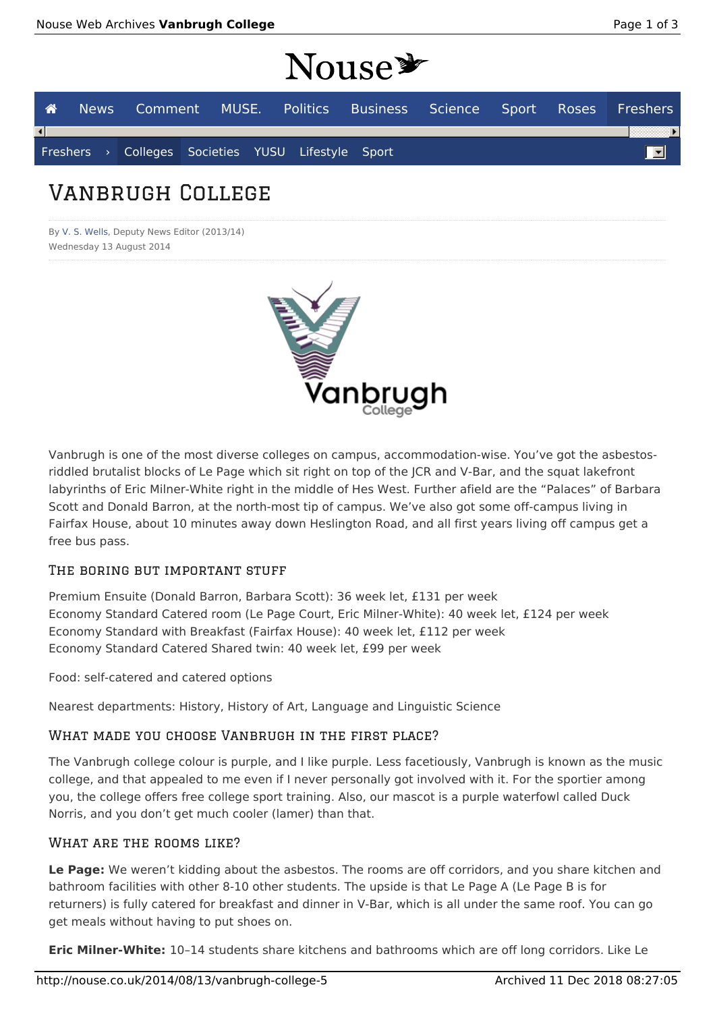# Nouse \*

|                        |  |  |                                                    | News Comment MUSE. Politics Business Science Sport Roses Freshers |  |  |
|------------------------|--|--|----------------------------------------------------|-------------------------------------------------------------------|--|--|
| $\left  \cdot \right $ |  |  |                                                    |                                                                   |  |  |
|                        |  |  | Freshers > Colleges Societies YUSU Lifestyle Sport |                                                                   |  |  |
|                        |  |  |                                                    |                                                                   |  |  |

## Vanbrugh College

By V. S. Wells, Deputy News Editor (2013/14) Wednesday 13 August 2014



Vanbrugh is one of the most diverse colleges on campus, accommodation-wise. You've got the asbestosriddled brutalist blocks of Le Page which sit right on top of the JCR and V-Bar, and the squat lakefront labyrinths of Eric Milner-White right in the middle of Hes West. Further afield are the "Palaces" of Barbara Scott and Donald Barron, at the north-most tip of campus. We've also got some off-campus living in Fairfax House, about 10 minutes away down Heslington Road, and all first years living off campus get a free bus pass.

#### THE BORING BUT IMPORTANT STUFF

Premium Ensuite (Donald Barron, Barbara Scott): 36 week let, £131 per week Economy Standard Catered room (Le Page Court, Eric Milner-White): 40 week let, £124 per week Economy Standard with Breakfast (Fairfax House): 40 week let, £112 per week Economy Standard Catered Shared twin: 40 week let, £99 per week

Food: self-catered and catered options

Nearest departments: History, History of Art, Language and Linguistic Science

#### WHAT MADE YOU CHOOSE VANBRUGH IN THE FIRST PLACE?

The Vanbrugh college colour is purple, and I like purple. Less facetiously, Vanbrugh is known as the music college, and that appealed to me even if I never personally got involved with it. For the sportier among you, the college offers free college sport training. Also, our mascot is a purple waterfowl called Duck Norris, and you don't get much cooler (lamer) than that.

#### WHAT ARE THE ROOMS LIKE?

**Le Page:** We weren't kidding about the asbestos. The rooms are off corridors, and you share kitchen and bathroom facilities with other 8-10 other students. The upside is that Le Page A (Le Page B is for returners) is fully catered for breakfast and dinner in V-Bar, which is all under the same roof. You can go get meals without having to put shoes on.

**Eric Milner-White:** 10–14 students share kitchens and bathrooms which are off long corridors. Like Le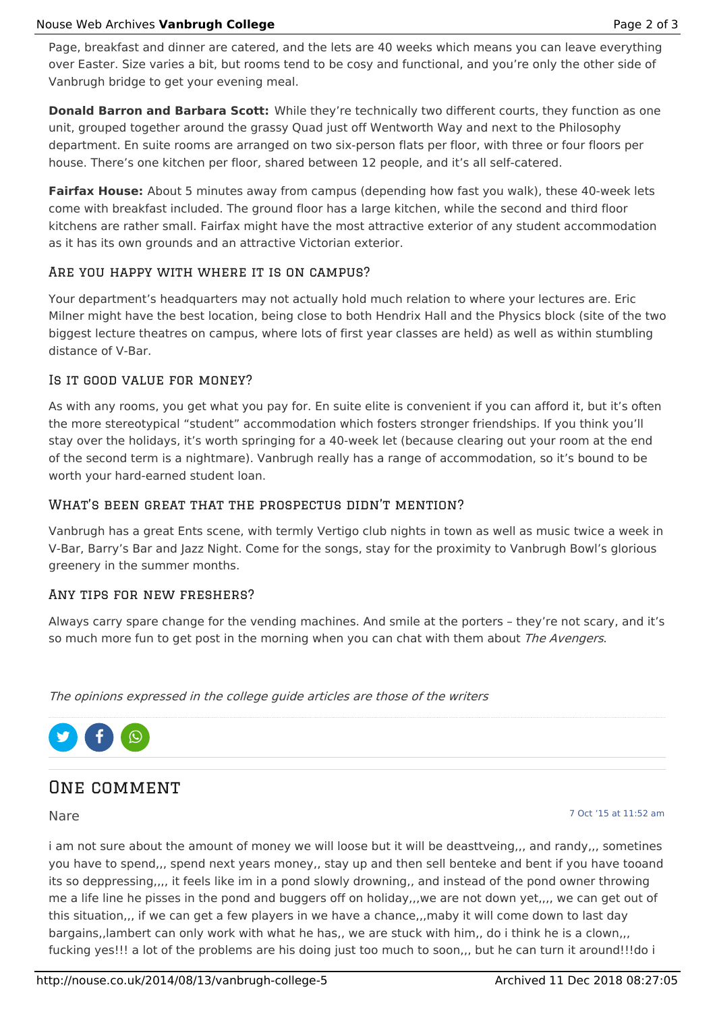Page, breakfast and dinner are catered, and the lets are 40 weeks which means you can leave everything over Easter. Size varies a bit, but rooms tend to be cosy and functional, and you're only the other side of Vanbrugh bridge to get your evening meal.

**Donald Barron and Barbara Scott:** While they're technically two different courts, they function as one unit, grouped together around the grassy Quad just off Wentworth Way and next to the Philosophy department. En suite rooms are arranged on two six-person flats per floor, with three or four floors per house. There's one kitchen per floor, shared between 12 people, and it's all self-catered.

**Fairfax House:** About 5 minutes away from campus (depending how fast you walk), these 40-week lets come with breakfast included. The ground floor has a large kitchen, while the second and third floor kitchens are rather small. Fairfax might have the most attractive exterior of any student accommodation as it has its own grounds and an attractive Victorian exterior.

#### Are you happy with where it is on campus?

Your department's headquarters may not actually hold much relation to where your lectures are. Eric Milner might have the best location, being close to both Hendrix Hall and the Physics block (site of the two biggest lecture theatres on campus, where lots of first year classes are held) as well as within stumbling distance of V-Bar.

#### Is it good value for money?

As with any rooms, you get what you pay for. En suite elite is convenient if you can afford it, but it's often the more stereotypical "student" accommodation which fosters stronger friendships. If you think you'll stay over the holidays, it's worth springing for a 40-week let (because clearing out your room at the end of the second term is a nightmare). Vanbrugh really has a range of accommodation, so it's bound to be worth your hard-earned student loan.

#### WHAT'S BEEN GREAT THAT THE PROSPECTUS DIDN'T MENTION?

Vanbrugh has a great Ents scene, with termly Vertigo club nights in town as well as music twice a week in V-Bar, Barry's Bar and Jazz Night. Come for the songs, stay for the proximity to Vanbrugh Bowl's glorious greenery in the summer months.

#### Any tips for new freshers?

Always carry spare change for the vending machines. And smile at the porters – they're not scary, and it's so much more fun to get post in the morning when you can chat with them about The Avengers.

The opinions expressed in the college guide articles are those of the writers



### ONE COMMENT

#### Nare

7 Oct '15 at 11:52 am

i am not sure about the amount of money we will loose but it will be deasttveing,,, and randy,,, sometines you have to spend,,, spend next years money,, stay up and then sell benteke and bent if you have tooand its so deppressing,,,, it feels like im in a pond slowly drowning,, and instead of the pond owner throwing me a life line he pisses in the pond and buggers off on holiday,,,we are not down yet,,,, we can get out of this situation,,, if we can get a few players in we have a chance,,,maby it will come down to last day bargains,,lambert can only work with what he has,, we are stuck with him,, do i think he is a clown,,, fucking yes!!! a lot of the problems are his doing just too much to soon,,, but he can turn it around!!!do i